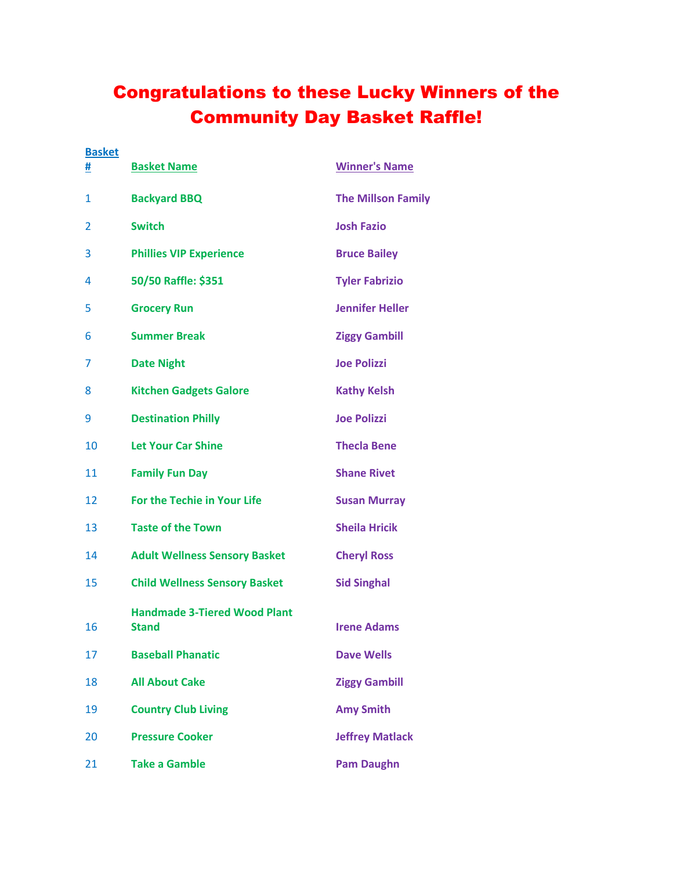## Congratulations to these Lucky Winners of the Community Day Basket Raffle!

| <b>Basket</b> |                                                     |                           |
|---------------|-----------------------------------------------------|---------------------------|
| #             | <b>Basket Name</b>                                  | <b>Winner's Name</b>      |
| 1             | <b>Backyard BBQ</b>                                 | <b>The Millson Family</b> |
| 2             | <b>Switch</b>                                       | <b>Josh Fazio</b>         |
| 3             | <b>Phillies VIP Experience</b>                      | <b>Bruce Bailey</b>       |
| 4             | 50/50 Raffle: \$351                                 | <b>Tyler Fabrizio</b>     |
| 5             | <b>Grocery Run</b>                                  | <b>Jennifer Heller</b>    |
| 6             | <b>Summer Break</b>                                 | <b>Ziggy Gambill</b>      |
| 7             | <b>Date Night</b>                                   | <b>Joe Polizzi</b>        |
| 8             | <b>Kitchen Gadgets Galore</b>                       | <b>Kathy Kelsh</b>        |
| 9             | <b>Destination Philly</b>                           | <b>Joe Polizzi</b>        |
| 10            | <b>Let Your Car Shine</b>                           | <b>Thecla Bene</b>        |
| 11            | <b>Family Fun Day</b>                               | <b>Shane Rivet</b>        |
| 12            | <b>For the Techie in Your Life</b>                  | <b>Susan Murray</b>       |
| 13            | <b>Taste of the Town</b>                            | <b>Sheila Hricik</b>      |
| 14            | <b>Adult Wellness Sensory Basket</b>                | <b>Cheryl Ross</b>        |
| 15            | <b>Child Wellness Sensory Basket</b>                | <b>Sid Singhal</b>        |
| 16            | <b>Handmade 3-Tiered Wood Plant</b><br><b>Stand</b> | <b>Irene Adams</b>        |
| 17            | <b>Baseball Phanatic</b>                            | <b>Dave Wells</b>         |
| 18            | <b>All About Cake</b>                               | <b>Ziggy Gambill</b>      |
| 19            | <b>Country Club Living</b>                          | <b>Amy Smith</b>          |
| 20            | <b>Pressure Cooker</b>                              | <b>Jeffrey Matlack</b>    |
| 21            | <b>Take a Gamble</b>                                | <b>Pam Daughn</b>         |